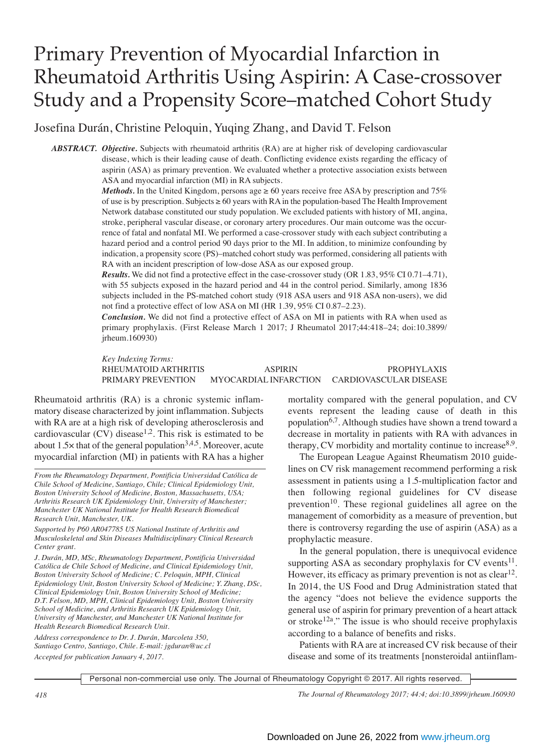# Primary Prevention of Myocardial Infarction in Rheumatoid Arthritis Using Aspirin: A Case-crossover Study and a Propensity Score–matched Cohort Study

Josefina Durán, Christine Peloquin, Yuqing Zhang, and David T. Felson

*ABSTRACT. Objective.* Subjects with rheumatoid arthritis (RA) are at higher risk of developing cardiovascular disease, which is their leading cause of death. Conflicting evidence exists regarding the efficacy of aspirin (ASA) as primary prevention. We evaluated whether a protective association exists between ASA and myocardial infarction (MI) in RA subjects.

> *Methods.* In the United Kingdom, persons age  $\geq 60$  years receive free ASA by prescription and 75% of use is by prescription. Subjects  $\geq 60$  years with RA in the population-based The Health Improvement Network database constituted our study population. We excluded patients with history of MI, angina, stroke, peripheral vascular disease, or coronary artery procedures. Our main outcome was the occurrence of fatal and nonfatal MI. We performed a case-crossover study with each subject contributing a hazard period and a control period 90 days prior to the MI. In addition, to minimize confounding by indication, a propensity score (PS)–matched cohort study was performed, considering all patients with RA with an incident prescription of low-dose ASA as our exposed group.

> *Results.* We did not find a protective effect in the case-crossover study (OR 1.83, 95% CI 0.71–4.71), with 55 subjects exposed in the hazard period and 44 in the control period. Similarly, among 1836 subjects included in the PS-matched cohort study (918 ASA users and 918 ASA non-users), we did not find a protective effect of low ASA on MI (HR 1.39, 95% CI 0.87–2.23).

> *Conclusion.* We did not find a protective effect of ASA on MI in patients with RA when used as primary prophylaxis. (First Release March 1 2017; J Rheumatol 2017;44:418–24; doi:10.3899/ jrheum.160930)

> *Key Indexing Terms:* RHEUMATOID ARTHRITIS ASPIRIN PROPHYLAXIS PRIMARY PREVENTION MYOCARDIAL INFARCTION CARDIOVASCULAR DISEASE

Rheumatoid arthritis (RA) is a chronic systemic inflammatory disease characterized by joint inflammation. Subjects with RA are at a high risk of developing atherosclerosis and cardiovascular (CV) disease<sup>1,2</sup>. This risk is estimated to be about 1.5 $\times$  that of the general population<sup>3,4,5</sup>. Moreover, acute myocardial infarction (MI) in patients with RA has a higher

*From the Rheumatology Department, Pontificia Universidad Católica de Chile School of Medicine, Santiago, Chile; Clinical Epidemiology Unit, Boston University School of Medicine, Boston, Massachusetts, USA; Arthritis Research UK Epidemiology Unit, University of Manchester; Manchester UK National Institute for Health Research Biomedical Research Unit, Manchester, UK.*

*Supported by P60 AR047785 US National Institute of Arthritis and Musculoskeletal and Skin Diseases Multidisciplinary Clinical Research Center grant.*

*J. Durán, MD, MSc, Rheumatology Department, Pontificia Universidad Católica de Chile School of Medicine, and Clinical Epidemiology Unit, Boston University School of Medicine; C. Peloquin, MPH, Clinical Epidemiology Unit, Boston University School of Medicine; Y. Zhang, DSc, Clinical Epidemiology Unit, Boston University School of Medicine; D.T. Felson, MD, MPH, Clinical Epidemiology Unit, Boston University School of Medicine, and Arthritis Research UK Epidemiology Unit, University of Manchester, and Manchester UK National Institute for Health Research Biomedical Research Unit.*

*Address correspondence to Dr. J. Durán, Marcoleta 350, Santiago Centro, Santiago, Chile. E-mail: jgduran@uc.cl Accepted for publication January 4, 2017.*

mortality compared with the general population, and CV events represent the leading cause of death in this population6,7. Although studies have shown a trend toward a decrease in mortality in patients with RA with advances in therapy, CV morbidity and mortality continue to increase $8.9$ .

The European League Against Rheumatism 2010 guidelines on CV risk management recommend performing a risk assessment in patients using a 1.5-multiplication factor and then following regional guidelines for CV disease prevention $10$ . These regional guidelines all agree on the management of comorbidity as a measure of prevention, but there is controversy regarding the use of aspirin (ASA) as a prophylactic measure.

In the general population, there is unequivocal evidence supporting ASA as secondary prophylaxis for  $CV$  events<sup>11</sup>. However, its efficacy as primary prevention is not as  $clear<sup>12</sup>$ . In 2014, the US Food and Drug Administration stated that the agency "does not believe the evidence supports the general use of aspirin for primary prevention of a heart attack or stroke<sup>12a</sup>." The issue is who should receive prophylaxis according to a balance of benefits and risks.

Patients with RA are at increased CV risk because of their disease and some of its treatments [nonsteroidal antiinflam-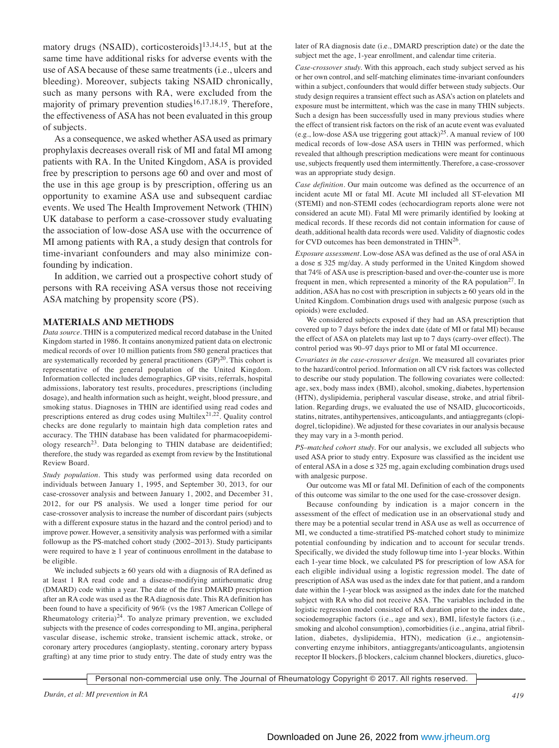matory drugs (NSAID), corticosteroids $]^{13,14,15}$ , but at the same time have additional risks for adverse events with the use of ASA because of these same treatments (i.e., ulcers and bleeding). Moreover, subjects taking NSAID chronically, such as many persons with RA, were excluded from the majority of primary prevention studies<sup>16,17,18,19</sup>. Therefore, the effectiveness of ASA has not been evaluated in this group of subjects.

As a consequence, we asked whether ASA used as primary prophylaxis decreases overall risk of MI and fatal MI among patients with RA. In the United Kingdom, ASA is provided free by prescription to persons age 60 and over and most of the use in this age group is by prescription, offering us an opportunity to examine ASA use and subsequent cardiac events. We used The Health Improvement Network (THIN) UK database to perform a case-crossover study evaluating the association of low-dose ASA use with the occurrence of MI among patients with RA, a study design that controls for time-invariant confounders and may also minimize confounding by indication.

In addition, we carried out a prospective cohort study of persons with RA receiving ASA versus those not receiving ASA matching by propensity score (PS).

#### **MATERIALS AND METHODS**

*Data source.* THIN is a computerized medical record database in the United Kingdom started in 1986. It contains anonymized patient data on electronic medical records of over 10 million patients from 580 general practices that are systematically recorded by general practitioners  $(GP)^{20}$ . This cohort is representative of the general population of the United Kingdom. Information collected includes demographics, GP visits, referrals, hospital admissions, laboratory test results, procedures, prescriptions (including dosage), and health information such as height, weight, blood pressure, and smoking status. Diagnoses in THIN are identified using read codes and prescriptions entered as drug codes using Multilex<sup>21,22</sup>. Quality control checks are done regularly to maintain high data completion rates and accuracy. The THIN database has been validated for pharmacoepidemiology research<sup>23</sup>. Data belonging to THIN database are deidentified; therefore, the study was regarded as exempt from review by the Institutional Review Board.

*Study population.* This study was performed using data recorded on individuals between January 1, 1995, and September 30, 2013, for our case-crossover analysis and between January 1, 2002, and December 31, 2012, for our PS analysis. We used a longer time period for our case-crossover analysis to increase the number of discordant pairs (subjects with a different exposure status in the hazard and the control period) and to improve power. However, a sensitivity analysis was performed with a similar followup as the PS-matched cohort study (2002–2013). Study participants were required to have  $\geq 1$  year of continuous enrollment in the database to be eligible.

We included subjects  $\geq 60$  years old with a diagnosis of RA defined as at least 1 RA read code and a disease-modifying antirheumatic drug (DMARD) code within a year. The date of the first DMARD prescription after an RA code was used as the RA diagnosis date. This RA definition has been found to have a specificity of 96% (vs the 1987 American College of Rheumatology criteria)<sup>24</sup>. To analyze primary prevention, we excluded subjects with the presence of codes corresponding to MI, angina, peripheral vascular disease, ischemic stroke, transient ischemic attack, stroke, or coronary artery procedures (angioplasty, stenting, coronary artery bypass grafting) at any time prior to study entry. The date of study entry was the

later of RA diagnosis date (i.e., DMARD prescription date) or the date the subject met the age, 1-year enrollment, and calendar time criteria.

*Case-crossover study.* With this approach, each study subject served as his or her own control, and self-matching eliminates time-invariant confounders within a subject, confounders that would differ between study subjects. Our study design requires a transient effect such as ASA's action on platelets and exposure must be intermittent, which was the case in many THIN subjects. Such a design has been successfully used in many previous studies where the effect of transient risk factors on the risk of an acute event was evaluated (e.g., low-dose ASA use triggering gout attack)<sup>25</sup>. A manual review of 100 medical records of low-dose ASA users in THIN was performed, which revealed that although prescription medications were meant for continuous use, subjects frequently used them intermittently. Therefore, a case-crossover was an appropriate study design.

*Case definition.* Our main outcome was defined as the occurrence of an incident acute MI or fatal MI. Acute MI included all ST-elevation MI (STEMI) and non-STEMI codes (echocardiogram reports alone were not considered an acute MI). Fatal MI were primarily identified by looking at medical records. If these records did not contain information for cause of death, additional health data records were used. Validity of diagnostic codes for CVD outcomes has been demonstrated in THIN26.

*Exposure assessment.* Low-dose ASA was defined as the use of oral ASA in a dose ≤ 325 mg/day. A study performed in the United Kingdom showed that 74% of ASA use is prescription-based and over-the-counter use is more frequent in men, which represented a minority of the RA population<sup>27</sup>. In addition, ASA has no cost with prescription in subjects  $\geq 60$  years old in the United Kingdom. Combination drugs used with analgesic purpose (such as opioids) were excluded.

We considered subjects exposed if they had an ASA prescription that covered up to 7 days before the index date (date of MI or fatal MI) because the effect of ASA on platelets may last up to 7 days (carry-over effect). The control period was 90–97 days prior to MI or fatal MI occurrence.

*Covariates in the case-crossover design.* We measured all covariates prior to the hazard/control period. Information on all CV risk factors was collected to describe our study population. The following covariates were collected: age, sex, body mass index (BMI), alcohol, smoking, diabetes, hypertension (HTN), dyslipidemia, peripheral vascular disease, stroke, and atrial fibrillation. Regarding drugs, we evaluated the use of NSAID, glucocorticoids, statins, nitrates, antihypertensives, anticoagulants, and antiaggregants (clopidogrel, ticlopidine). We adjusted for these covariates in our analysis because they may vary in a 3-month period.

*PS–matched cohort study.* For our analysis, we excluded all subjects who used ASA prior to study entry. Exposure was classified as the incident use of enteral ASA in a dose ≤ 325 mg, again excluding combination drugs used with analgesic purpose.

Our outcome was MI or fatal MI. Definition of each of the components of this outcome was similar to the one used for the case-crossover design.

Because confounding by indication is a major concern in the assessment of the effect of medication use in an observational study and there may be a potential secular trend in ASA use as well as occurrence of MI, we conducted a time-stratified PS-matched cohort study to minimize potential confounding by indication and to account for secular trends. Specifically, we divided the study followup time into 1-year blocks. Within each 1-year time block, we calculated PS for prescription of low ASA for each eligible individual using a logistic regression model. The date of prescription of ASA was used as the index date for that patient, and a random date within the 1-year block was assigned as the index date for the matched subject with RA who did not receive ASA. The variables included in the logistic regression model consisted of RA duration prior to the index date, sociodemographic factors (i.e., age and sex), BMI, lifestyle factors (i.e., smoking and alcohol consumption), comorbidities (i.e., angina, atrial fibrillation, diabetes, dyslipidemia, HTN), medication (i.e., angiotensinconverting enzyme inhibitors, antiaggregants/anticoagulants, angiotensin receptor II blockers, β blockers, calcium channel blockers, diuretics, gluco-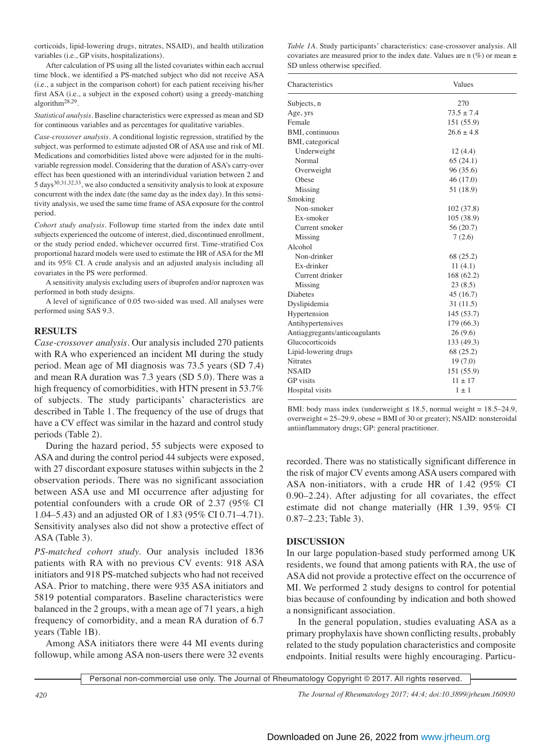corticoids, lipid-lowering drugs, nitrates, NSAID), and health utilization variables (i.e., GP visits, hospitalizations).

After calculation of PS using all the listed covariates within each accrual time block, we identified a PS-matched subject who did not receive ASA (i.e., a subject in the comparison cohort) for each patient receiving his/her first ASA (i.e., a subject in the exposed cohort) using a greedy-matching algorithm28,29.

*Statistical analysis.* Baseline characteristics were expressed as mean and SD for continuous variables and as percentages for qualitative variables.

*Case-crossover analysis.* A conditional logistic regression, stratified by the subject, was performed to estimate adjusted OR of ASA use and risk of MI. Medications and comorbidities listed above were adjusted for in the multivariable regression model. Considering that the duration of ASA's carry-over effect has been questioned with an interindividual variation between 2 and 5 days30,31,32,33, we also conducted a sensitivity analysis to look at exposure concurrent with the index date (the same day as the index day). In this sensitivity analysis, we used the same time frame of ASA exposure for the control period.

*Cohort study analysis.* Followup time started from the index date until subjects experienced the outcome of interest, died, discontinued enrollment, or the study period ended, whichever occurred first. Time-stratified Cox proportional hazard models were used to estimate the HR of ASA for the MI and its 95% CI. A crude analysis and an adjusted analysis including all covariates in the PS were performed.

A sensitivity analysis excluding users of ibuprofen and/or naproxen was performed in both study designs.

A level of significance of 0.05 two-sided was used. All analyses were performed using SAS 9.3.

## **RESULTS**

*Case-crossover analysis.* Our analysis included 270 patients with RA who experienced an incident MI during the study period. Mean age of MI diagnosis was 73.5 years (SD 7.4) and mean RA duration was 7.3 years (SD 5.0). There was a high frequency of comorbidities, with HTN present in 53.7% of subjects. The study participants' characteristics are described in Table 1. The frequency of the use of drugs that have a CV effect was similar in the hazard and control study periods (Table 2).

During the hazard period, 55 subjects were exposed to ASA and during the control period 44 subjects were exposed, with 27 discordant exposure statuses within subjects in the 2 observation periods. There was no significant association between ASA use and MI occurrence after adjusting for potential confounders with a crude OR of 2.37 (95% CI 1.04–5.43) and an adjusted OR of 1.83 (95% CI 0.71–4.71). Sensitivity analyses also did not show a protective effect of ASA (Table 3).

*PS-matched cohort study.* Our analysis included 1836 patients with RA with no previous CV events: 918 ASA initiators and 918 PS-matched subjects who had not received ASA. Prior to matching, there were 935 ASA initiators and 5819 potential comparators. Baseline characteristics were balanced in the 2 groups, with a mean age of 71 years, a high frequency of comorbidity, and a mean RA duration of 6.7 years (Table 1B).

Among ASA initiators there were 44 MI events during followup, while among ASA non-users there were 32 events

*Table 1A.* Study participants' characteristics: case-crossover analysis. All covariates are measured prior to the index date. Values are n  $(\%)$  or mean  $\pm$ SD unless otherwise specified.

| Characteristics               | Values         |
|-------------------------------|----------------|
| Subjects, n                   | 270            |
| Age, yrs                      | $73.5 \pm 7.4$ |
| Female                        | 151 (55.9)     |
| BMI, continuous               | $26.6 \pm 4.8$ |
| BMI, categorical              |                |
| Underweight                   | 12(4.4)        |
| Normal                        | 65(24.1)       |
| Overweight                    | 96(35.6)       |
| Obese                         | 46 (17.0)      |
| Missing                       | 51 (18.9)      |
| Smoking                       |                |
| Non-smoker                    | 102(37.8)      |
| Ex-smoker                     | 105(38.9)      |
| Current smoker                | 56 (20.7)      |
| Missing                       | 7(2.6)         |
| Alcohol                       |                |
| Non-drinker                   | 68 (25.2)      |
| Ex-drinker                    | 11(4.1)        |
| Current drinker               | 168(62.2)      |
| Missing                       | 23(8.5)        |
| <b>Diabetes</b>               | 45 (16.7)      |
| Dyslipidemia                  | 31 (11.5)      |
| Hypertension                  | 145(53.7)      |
| Antihypertensives             | 179 (66.3)     |
| Antiaggregants/anticoagulants | 26(9.6)        |
| Glucocorticoids               | 133 (49.3)     |
| Lipid-lowering drugs          | 68 (25.2)      |
| Nitrates                      | 19(7.0)        |
| <b>NSAID</b>                  | 151 (55.9)     |
| <b>GP</b> visits              | $11 \pm 17$    |
| Hospital visits               | $1 \pm 1$      |

BMI: body mass index (underweight  $\leq 18.5$ , normal weight = 18.5–24.9, overweight = 25–29.9, obese = BMI of 30 or greater); NSAID: nonsteroidal antiinflammatory drugs; GP: general practitioner.

recorded. There was no statistically significant difference in the risk of major CV events among ASA users compared with ASA non-initiators, with a crude HR of 1.42 (95% CI 0.90–2.24). After adjusting for all covariates, the effect estimate did not change materially (HR 1.39, 95% CI 0.87–2.23; Table 3).

## **DISCUSSION**

In our large population-based study performed among UK residents, we found that among patients with RA, the use of ASA did not provide a protective effect on the occurrence of MI. We performed 2 study designs to control for potential bias because of confounding by indication and both showed a nonsignificant association.

In the general population, studies evaluating ASA as a primary prophylaxis have shown conflicting results, probably related to the study population characteristics and composite endpoints. Initial results were highly encouraging. Particu-

Personal non-commercial use only. The Journal of Rheumatology Copyright © 2017. All rights reserved.

*420 The Journal of Rheumatology 2017; 44:4; doi:10.3899/jrheum.160930*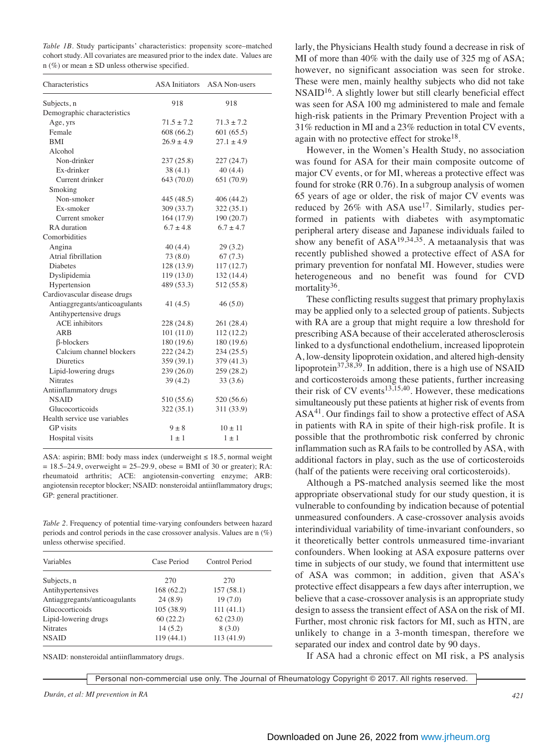*Table 1B.* Study participants' characteristics: propensity score–matched cohort study. All covariates are measured prior to the index date. Values are  $n$  (%) or mean  $\pm$  SD unless otherwise specified.

| Characteristics               | <b>ASA</b> Initiators | <b>ASA Non-users</b> |
|-------------------------------|-----------------------|----------------------|
| Subjects, n                   | 918                   | 918                  |
| Demographic characteristics   |                       |                      |
| Age, yrs                      | $71.5 \pm 7.2$        | $71.3 \pm 7.2$       |
| Female                        | 608(66.2)             | 601(65.5)            |
| <b>BMI</b>                    | $26.9 \pm 4.9$        | $27.1 \pm 4.9$       |
| Alcohol                       |                       |                      |
| Non-drinker                   | 237(25.8)             | 227 (24.7)           |
| Ex-drinker                    | 38(4.1)               | 40(4.4)              |
| Current drinker               | 643 (70.0)            | 651 (70.9)           |
| Smoking                       |                       |                      |
| Non-smoker                    | 445 (48.5)            | 406 (44.2)           |
| Ex-smoker                     | 309 (33.7)            | 322 (35.1)           |
| Current smoker                | 164 (17.9)            | 190(20.7)            |
| RA duration                   | $6.7 \pm 4.8$         | $6.7 \pm 4.7$        |
| Comorbidities                 |                       |                      |
| Angina                        | 40 (4.4)              | 29 (3.2)             |
| Atrial fibrillation           | 73(8.0)               | 67(7.3)              |
| <b>Diabetes</b>               | 128 (13.9)            | 117 (12.7)           |
| Dyslipidemia                  | 119(13.0)             | 132 (14.4)           |
| Hypertension                  | 489 (53.3)            | 512 (55.8)           |
| Cardiovascular disease drugs  |                       |                      |
| Antiaggregants/anticoagulants | 41 $(4.5)$            | 46(5.0)              |
| Antihypertensive drugs        |                       |                      |
| <b>ACE</b> inhibitors         | 228 (24.8)            | 261 (28.4)           |
| ARB                           | 101(11.0)             | 112(12.2)            |
| $\beta$ -blockers             | 180 (19.6)            | 180 (19.6)           |
| Calcium channel blockers      | 222 (24.2)            | 234(25.5)            |
| <b>Diuretics</b>              | 359 (39.1)            | 379 (41.3)           |
| Lipid-lowering drugs          | 239(26.0)             | 259 (28.2)           |
| <b>Nitrates</b>               | 39 (4.2)              | 33(3.6)              |
| Antiinflammatory drugs        |                       |                      |
| <b>NSAID</b>                  | 510 (55.6)            | 520 (56.6)           |
| Glucocorticoids               | 322(35.1)             | 311 (33.9)           |
| Health service use variables  |                       |                      |
| <b>GP</b> visits              | $9 \pm 8$             | $10 \pm 11$          |
| Hospital visits               | $1 \pm 1$             | $1 \pm 1$            |

ASA: aspirin; BMI: body mass index (underweight  $\leq 18.5$ , normal weight  $= 18.5 - 24.9$ , overweight  $= 25 - 29.9$ , obese  $=$  BMI of 30 or greater); RA: rheumatoid arthritis; ACE: angiotensin-converting enzyme; ARB: angiotensin receptor blocker; NSAID: nonsteroidal antiinflammatory drugs; GP: general practitioner.

*Table 2.* Frequency of potential time-varying confounders between hazard periods and control periods in the case crossover analysis. Values are n (%) unless otherwise specified.

| Variables                     | Case Period | Control Period |  |
|-------------------------------|-------------|----------------|--|
| Subjects, n                   | 270         | 270            |  |
| Antihypertensives             | 168(62.2)   | 157(58.1)      |  |
| Antiaggregants/anticoagulants | 24(8.9)     | 19(7.0)        |  |
| Glucocorticoids               | 105(38.9)   | 111(41.1)      |  |
| Lipid-lowering drugs          | 60(22.2)    | 62(23.0)       |  |
| <b>Nitrates</b>               | 14(5.2)     | 8(3.0)         |  |
| <b>NSAID</b>                  | 119(44.1)   | 113(41.9)      |  |

NSAID: nonsteroidal antiinflammatory drugs.

larly, the Physicians Health study found a decrease in risk of MI of more than 40% with the daily use of 325 mg of ASA; however, no significant association was seen for stroke. These were men, mainly healthy subjects who did not take  $NSAID<sup>16</sup>$ . A slightly lower but still clearly beneficial effect was seen for ASA 100 mg administered to male and female high-risk patients in the Primary Prevention Project with a 31% reduction in MI and a 23% reduction in total CV events, again with no protective effect for stroke<sup>18</sup>.

However, in the Women's Health Study, no association was found for ASA for their main composite outcome of major CV events, or for MI, whereas a protective effect was found for stroke (RR 0.76). In a subgroup analysis of women 65 years of age or older, the risk of major CV events was reduced by  $26\%$  with ASA use<sup>17</sup>. Similarly, studies performed in patients with diabetes with asymptomatic peripheral artery disease and Japanese individuals failed to show any benefit of  $ASA^{19,34,35}$ . A metaanalysis that was recently published showed a protective effect of ASA for primary prevention for nonfatal MI. However, studies were heterogeneous and no benefit was found for CVD mortality<sup>36</sup>.

These conflicting results suggest that primary prophylaxis may be applied only to a selected group of patients. Subjects with RA are a group that might require a low threshold for prescribing ASA because of their accelerated atherosclerosis linked to a dysfunctional endothelium, increased lipoprotein A, low-density lipoprotein oxidation, and altered high-density lipoprotein37,38,39. In addition, there is a high use of NSAID and corticosteroids among these patients, further increasing their risk of CV events<sup>13,15,40</sup>. However, these medications simultaneously put these patients at higher risk of events from ASA<sup>41</sup>. Our findings fail to show a protective effect of ASA in patients with RA in spite of their high-risk profile. It is possible that the prothrombotic risk conferred by chronic inflammation such as RA fails to be controlled by ASA, with additional factors in play, such as the use of corticosteroids (half of the patients were receiving oral corticosteroids).

Although a PS-matched analysis seemed like the most appropriate observational study for our study question, it is vulnerable to confounding by indication because of potential unmeasured confounders. A case-crossover analysis avoids interindividual variability of time-invariant confounders, so it theoretically better controls unmeasured time-invariant confounders. When looking at ASA exposure patterns over time in subjects of our study, we found that intermittent use of ASA was common; in addition, given that ASA's protective effect disappears a few days after interruption, we believe that a case-crossover analysis is an appropriate study design to assess the transient effect of ASA on the risk of MI. Further, most chronic risk factors for MI, such as HTN, are unlikely to change in a 3-month timespan, therefore we separated our index and control date by 90 days.

If ASA had a chronic effect on MI risk, a PS analysis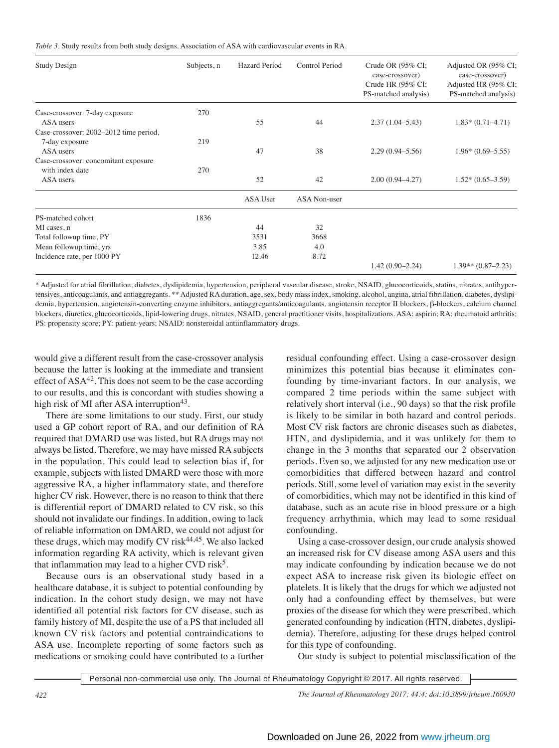*Table 3.* Study results from both study designs. Association of ASA with cardiovascular events in RA.

| <b>Study Design</b>                                      | Subjects, n | <b>Hazard Period</b> | Control Period      | Crude OR $(95\%$ CI;<br>case-crossover)<br>Crude HR (95% CI;<br>PS-matched analysis) | Adjusted OR (95% CI;<br>case-crossover)<br>Adjusted HR (95% CI;<br>PS-matched analysis) |
|----------------------------------------------------------|-------------|----------------------|---------------------|--------------------------------------------------------------------------------------|-----------------------------------------------------------------------------------------|
| Case-crossover: 7-day exposure<br>ASA users              | 270         | 55                   | 44                  | $2.37(1.04 - 5.43)$                                                                  | $1.83*(0.71-4.71)$                                                                      |
| Case-crossover: 2002–2012 time period,<br>7-day exposure | 219         |                      |                     |                                                                                      |                                                                                         |
| ASA users                                                |             | 47                   | 38                  | $2.29(0.94 - 5.56)$                                                                  | $1.96*(0.69-5.55)$                                                                      |
| Case-crossover: concomitant exposure                     |             |                      |                     |                                                                                      |                                                                                         |
| with index date<br>ASA users                             | 270         | 52                   | 42                  | $2.00(0.94 - 4.27)$                                                                  | $1.52*(0.65-3.59)$                                                                      |
|                                                          |             | ASA User             | <b>ASA Non-user</b> |                                                                                      |                                                                                         |
| PS-matched cohort                                        | 1836        |                      |                     |                                                                                      |                                                                                         |
| MI cases, n                                              |             | 44                   | 32                  |                                                                                      |                                                                                         |
| Total followup time, PY                                  |             | 3531                 | 3668                |                                                                                      |                                                                                         |
| Mean followup time, yrs                                  |             | 3.85                 | 4.0                 |                                                                                      |                                                                                         |
| Incidence rate, per 1000 PY                              |             | 12.46                | 8.72                |                                                                                      |                                                                                         |
|                                                          |             |                      |                     | $1.42(0.90 - 2.24)$                                                                  | $1.39**$ (0.87-2.23)                                                                    |

\* Adjusted for atrial fibrillation, diabetes, dyslipidemia, hypertension, peripheral vascular disease, stroke, NSAID, glucocorticoids, statins, nitrates, antihypertensives, anticoagulants, and antiaggregants. \*\* Adjusted RA duration, age, sex, body mass index, smoking, alcohol, angina, atrial fibrillation, diabetes, dyslipidemia, hypertension, angiotensin-converting enzyme inhibitors, antiaggregants/anticoagulants, angiotensin receptor II blockers, β-blockers, calcium channel blockers, diuretics, glucocorticoids, lipid-lowering drugs, nitrates, NSAID, general practitioner visits, hospitalizations. ASA: aspirin; RA: rheumatoid arthritis; PS: propensity score; PY: patient-years; NSAID: nonsteroidal antiinflammatory drugs.

would give a different result from the case-crossover analysis because the latter is looking at the immediate and transient effect of  $ASA^{42}$ . This does not seem to be the case according to our results, and this is concordant with studies showing a high risk of MI after ASA interruption<sup>43</sup>.

There are some limitations to our study. First, our study used a GP cohort report of RA, and our definition of RA required that DMARD use was listed, but RA drugs may not always be listed. Therefore, we may have missed RA subjects in the population. This could lead to selection bias if, for example, subjects with listed DMARD were those with more aggressive RA, a higher inflammatory state, and therefore higher CV risk. However, there is no reason to think that there is differential report of DMARD related to CV risk, so this should not invalidate our findings. In addition, owing to lack of reliable information on DMARD, we could not adjust for these drugs, which may modify CV risk $44,45$ . We also lacked information regarding RA activity, which is relevant given that inflammation may lead to a higher CVD risk<sup>5</sup>.

Because ours is an observational study based in a healthcare database, it is subject to potential confounding by indication. In the cohort study design, we may not have identified all potential risk factors for CV disease, such as family history of MI, despite the use of a PS that included all known CV risk factors and potential contraindications to ASA use. Incomplete reporting of some factors such as medications or smoking could have contributed to a further residual confounding effect. Using a case-crossover design minimizes this potential bias because it eliminates confounding by time-invariant factors. In our analysis, we compared 2 time periods within the same subject with relatively short interval (i.e., 90 days) so that the risk profile is likely to be similar in both hazard and control periods. Most CV risk factors are chronic diseases such as diabetes, HTN, and dyslipidemia, and it was unlikely for them to change in the 3 months that separated our 2 observation periods. Even so, we adjusted for any new medication use or comorbidities that differed between hazard and control periods. Still, some level of variation may exist in the severity of comorbidities, which may not be identified in this kind of database, such as an acute rise in blood pressure or a high frequency arrhythmia, which may lead to some residual confounding.

Using a case-crossover design, our crude analysis showed an increased risk for CV disease among ASA users and this may indicate confounding by indication because we do not expect ASA to increase risk given its biologic effect on platelets. It is likely that the drugs for which we adjusted not only had a confounding effect by themselves, but were proxies of the disease for which they were prescribed, which generated confounding by indication (HTN, diabetes, dyslipidemia). Therefore, adjusting for these drugs helped control for this type of confounding.

Our study is subject to potential misclassification of the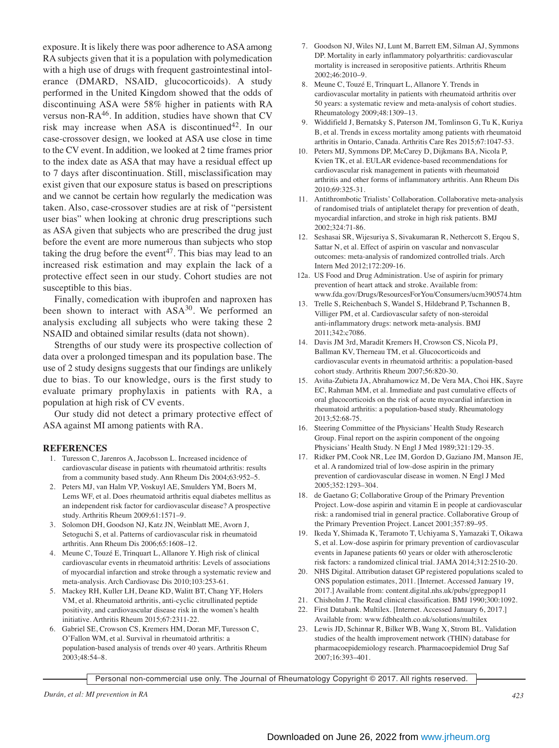exposure. It is likely there was poor adherence to ASA among RA subjects given that it is a population with polymedication with a high use of drugs with frequent gastrointestinal intolerance (DMARD, NSAID, glucocorticoids). A study performed in the United Kingdom showed that the odds of discontinuing ASA were 58% higher in patients with RA versus non- $RA^{46}$ . In addition, studies have shown that CV risk may increase when ASA is discontinued<sup>42</sup>. In our case-crossover design, we looked at ASA use close in time to the CV event. In addition, we looked at 2 time frames prior to the index date as ASA that may have a residual effect up to 7 days after discontinuation. Still, misclassification may exist given that our exposure status is based on prescriptions and we cannot be certain how regularly the medication was taken. Also, case-crossover studies are at risk of "persistent user bias" when looking at chronic drug prescriptions such as ASA given that subjects who are prescribed the drug just before the event are more numerous than subjects who stop taking the drug before the event<sup>47</sup>. This bias may lead to an increased risk estimation and may explain the lack of a protective effect seen in our study. Cohort studies are not susceptible to this bias.

Finally, comedication with ibuprofen and naproxen has been shown to interact with ASA<sup>30</sup>. We performed an analysis excluding all subjects who were taking these 2 NSAID and obtained similar results (data not shown).

Strengths of our study were its prospective collection of data over a prolonged timespan and its population base. The use of 2 study designs suggests that our findings are unlikely due to bias. To our knowledge, ours is the first study to evaluate primary prophylaxis in patients with RA, a population at high risk of CV events.

Our study did not detect a primary protective effect of ASA against MI among patients with RA.

#### **REFERENCES**

- 1. Turesson C, Jarenros A, Jacobsson L. Increased incidence of cardiovascular disease in patients with rheumatoid arthritis: results from a community based study. Ann Rheum Dis 2004;63:952–5.
- 2. Peters MJ, van Halm VP, Voskuyl AE, Smulders YM, Boers M, Lems WF, et al. Does rheumatoid arthritis equal diabetes mellitus as an independent risk factor for cardiovascular disease? A prospective study. Arthritis Rheum 2009;61:1571–9.
- 3. Solomon DH, Goodson NJ, Katz JN, Weinblatt ME, Avorn J, Setoguchi S, et al. Patterns of cardiovascular risk in rheumatoid arthritis. Ann Rheum Dis 2006;65:1608–12.
- 4. Meune C, Touzé E, Trinquart L, Allanore Y. High risk of clinical cardiovascular events in rheumatoid arthritis: Levels of associations of myocardial infarction and stroke through a systematic review and meta-analysis. Arch Cardiovasc Dis 2010;103:253-61.
- 5. Mackey RH, Kuller LH, Deane KD, Walitt BT, Chang YF, Holers VM, et al. Rheumatoid arthritis, anti-cyclic citrullinated peptide positivity, and cardiovascular disease risk in the women's health initiative. Arthritis Rheum 2015;67:2311-22.
- 6. Gabriel SE, Crowson CS, Kremers HM, Doran MF, Turesson C, O'Fallon WM, et al. Survival in rheumatoid arthritis: a population-based analysis of trends over 40 years. Arthritis Rheum 2003;48:54–8.
- 7. Goodson NJ, Wiles NJ, Lunt M, Barrett EM, Silman AJ, Symmons DP. Mortality in early inflammatory polyarthritis: cardiovascular mortality is increased in seropositive patients. Arthritis Rheum 2002;46:2010–9.
- 8. Meune C, Touzé E, Trinquart L, Allanore Y. Trends in cardiovascular mortality in patients with rheumatoid arthritis over 50 years: a systematic review and meta-analysis of cohort studies. Rheumatology 2009;48:1309–13.
- 9. Widdifield J, Bernatsky S, Paterson JM, Tomlinson G, Tu K, Kuriya B, et al. Trends in excess mortality among patients with rheumatoid arthritis in Ontario, Canada. Arthritis Care Res 2015;67:1047-53.
- 10. Peters MJ, Symmons DP, McCarey D, Dijkmans BA, Nicola P, Kvien TK, et al. EULAR evidence-based recommendations for cardiovascular risk management in patients with rheumatoid arthritis and other forms of inflammatory arthritis. Ann Rheum Dis 2010;69:325-31.
- 11. Antithrombotic Trialists' Collaboration. Collaborative meta-analysis of randomised trials of antiplatelet therapy for prevention of death, myocardial infarction, and stroke in high risk patients. BMJ 2002;324:71-86.
- 12. Seshasai SR, Wijesuriya S, Sivakumaran R, Nethercott S, Erqou S, Sattar N, et al. Effect of aspirin on vascular and nonvascular outcomes: meta-analysis of randomized controlled trials. Arch Intern Med 2012;172:209-16.
- 12a. US Food and Drug Administration. Use of aspirin for primary prevention of heart attack and stroke. Available from: www.fda.gov/Drugs/ResourcesForYou/Consumers/ucm390574.htm
- 13. Trelle S, Reichenbach S, Wandel S, Hildebrand P, Tschannen B, Villiger PM, et al. Cardiovascular safety of non-steroidal anti-inflammatory drugs: network meta-analysis. BMJ 2011;342:c7086.
- 14. Davis JM 3rd, Maradit Kremers H, Crowson CS, Nicola PJ, Ballman KV, Therneau TM, et al. Glucocorticoids and cardiovascular events in rheumatoid arthritis: a population-based cohort study. Arthritis Rheum 2007;56:820-30.
- 15. Aviña-Zubieta JA, Abrahamowicz M, De Vera MA, Choi HK, Sayre EC, Rahman MM, et al. Immediate and past cumulative effects of oral glucocorticoids on the risk of acute myocardial infarction in rheumatoid arthritis: a population-based study. Rheumatology 2013;52:68-75.
- 16. Steering Committee of the Physicians' Health Study Research Group. Final report on the aspirin component of the ongoing Physicians' Health Study. N Engl J Med 1989;321:129-35.
- 17. Ridker PM, Cook NR, Lee IM, Gordon D, Gaziano JM, Manson JE, et al. A randomized trial of low-dose aspirin in the primary prevention of cardiovascular disease in women. N Engl J Med 2005;352:1293–304.
- 18. de Gaetano G; Collaborative Group of the Primary Prevention Project. Low-dose aspirin and vitamin E in people at cardiovascular risk: a randomised trial in general practice. Collaborative Group of the Primary Prevention Project. Lancet 2001;357:89–95.
- 19. Ikeda Y, Shimada K, Teramoto T, Uchiyama S, Yamazaki T, Oikawa S, et al. Low-dose aspirin for primary prevention of cardiovascular events in Japanese patients 60 years or older with atherosclerotic risk factors: a randomized clinical trial. JAMA 2014;312:2510-20.
- 20. NHS Digital. Attribution dataset GP registered populations scaled to ONS population estimates, 2011. [Internet. Accessed January 19, 2017.] Available from: content.digital.nhs.uk/pubs/gpregpop11
- 21. Chisholm J. The Read clinical classification. BMJ 1990;300:1092.
- 22. First Databank. Multilex. [Internet. Accessed January 6, 2017.] Available from: www.fdbhealth.co.uk/solutions/multilex
- 23. Lewis JD, Schinnar R, Bilker WB, Wang X, Strom BL. Validation studies of the health improvement network (THIN) database for pharmacoepidemiology research. Pharmacoepidemiol Drug Saf 2007;16:393–401.